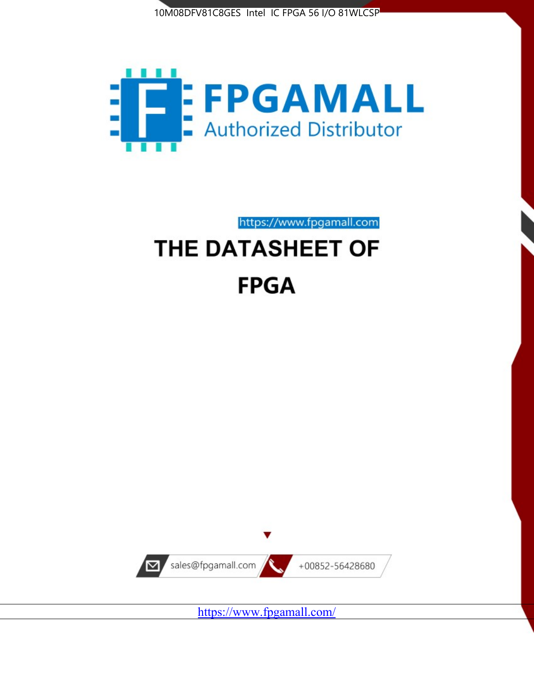



https://www.fpgamall.com

# THE DATASHEET OF **FPGA**



<https://www.fpgamall.com/>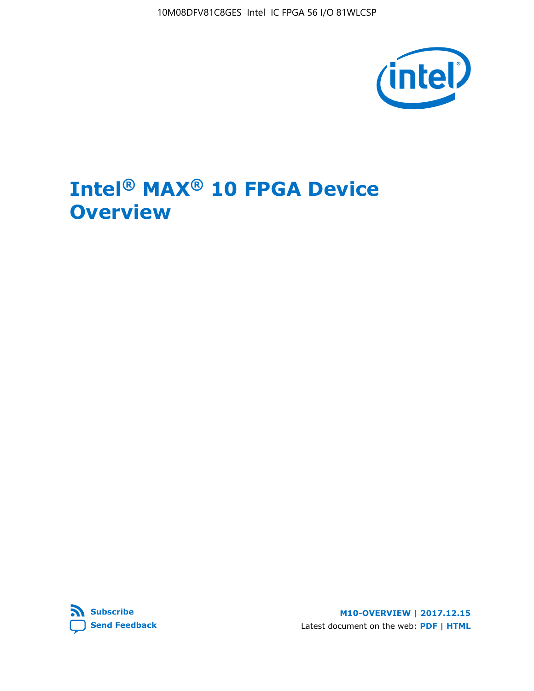10M08DFV81C8GES Intel IC FPGA 56 I/O 81WLCSP



# **Intel® MAX® 10 FPGA Device Overview**



**M10-OVERVIEW | 2017.12.15** Latest document on the web: **[PDF](https://www.altera.com/en_US/pdfs/literature/hb/max-10/m10_overview.pdf)** | **[HTML](https://www.altera.com/documentation/myt1396938463674.html)**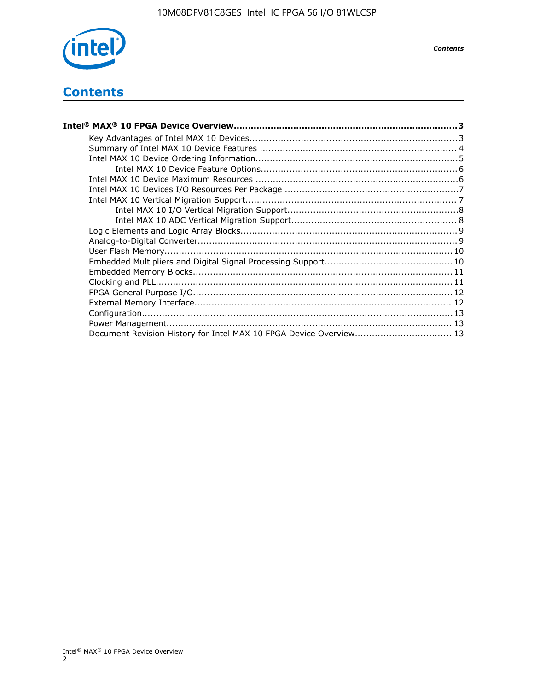

*Contents*

# **Contents**

| Intel® MAX® 10 FPGA Device Overview…………………………………………………………………………………………3 |  |
|------------------------------------------------------------------------|--|
|                                                                        |  |
|                                                                        |  |
|                                                                        |  |
|                                                                        |  |
|                                                                        |  |
|                                                                        |  |
|                                                                        |  |
|                                                                        |  |
|                                                                        |  |
|                                                                        |  |
|                                                                        |  |
|                                                                        |  |
|                                                                        |  |
|                                                                        |  |
|                                                                        |  |
|                                                                        |  |
|                                                                        |  |
|                                                                        |  |
|                                                                        |  |
| Document Revision History for Intel MAX 10 FPGA Device Overview 13     |  |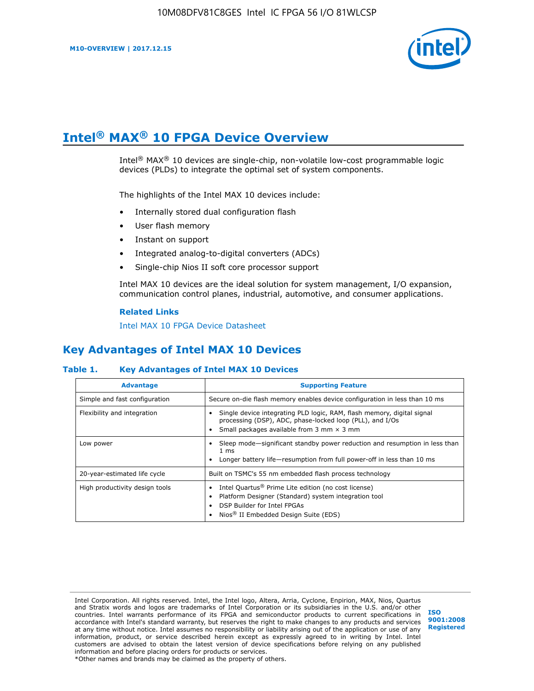

# **Intel® MAX® 10 FPGA Device Overview**

Intel® MAX® 10 devices are single-chip, non-volatile low-cost programmable logic devices (PLDs) to integrate the optimal set of system components.

The highlights of the Intel MAX 10 devices include:

- Internally stored dual configuration flash
- User flash memory
- Instant on support
- Integrated analog-to-digital converters (ADCs)
- Single-chip Nios II soft core processor support

Intel MAX 10 devices are the ideal solution for system management, I/O expansion, communication control planes, industrial, automotive, and consumer applications.

#### **Related Links**

[Intel MAX 10 FPGA Device Datasheet](https://www.altera.com/documentation/mcn1397700832153.html#mcn1397643748870)

# **Key Advantages of Intel MAX 10 Devices**

## **Table 1. Key Advantages of Intel MAX 10 Devices**

| <b>Advantage</b>               | <b>Supporting Feature</b>                                                                                                                                                                                  |  |  |  |
|--------------------------------|------------------------------------------------------------------------------------------------------------------------------------------------------------------------------------------------------------|--|--|--|
| Simple and fast configuration  | Secure on-die flash memory enables device configuration in less than 10 ms                                                                                                                                 |  |  |  |
| Flexibility and integration    | Single device integrating PLD logic, RAM, flash memory, digital signal<br>processing (DSP), ADC, phase-locked loop (PLL), and I/Os<br>Small packages available from 3 mm $\times$ 3 mm                     |  |  |  |
| Low power                      | Sleep mode—significant standby power reduction and resumption in less than<br>$1 \text{ ms}$<br>Longer battery life—resumption from full power-off in less than 10 ms                                      |  |  |  |
| 20-year-estimated life cycle   | Built on TSMC's 55 nm embedded flash process technology                                                                                                                                                    |  |  |  |
| High productivity design tools | Intel Quartus <sup>®</sup> Prime Lite edition (no cost license)<br>Platform Designer (Standard) system integration tool<br>DSP Builder for Intel FPGAs<br>Nios <sup>®</sup> II Embedded Design Suite (EDS) |  |  |  |

Intel Corporation. All rights reserved. Intel, the Intel logo, Altera, Arria, Cyclone, Enpirion, MAX, Nios, Quartus and Stratix words and logos are trademarks of Intel Corporation or its subsidiaries in the U.S. and/or other countries. Intel warrants performance of its FPGA and semiconductor products to current specifications in accordance with Intel's standard warranty, but reserves the right to make changes to any products and services at any time without notice. Intel assumes no responsibility or liability arising out of the application or use of any information, product, or service described herein except as expressly agreed to in writing by Intel. Intel customers are advised to obtain the latest version of device specifications before relying on any published information and before placing orders for products or services. \*Other names and brands may be claimed as the property of others.

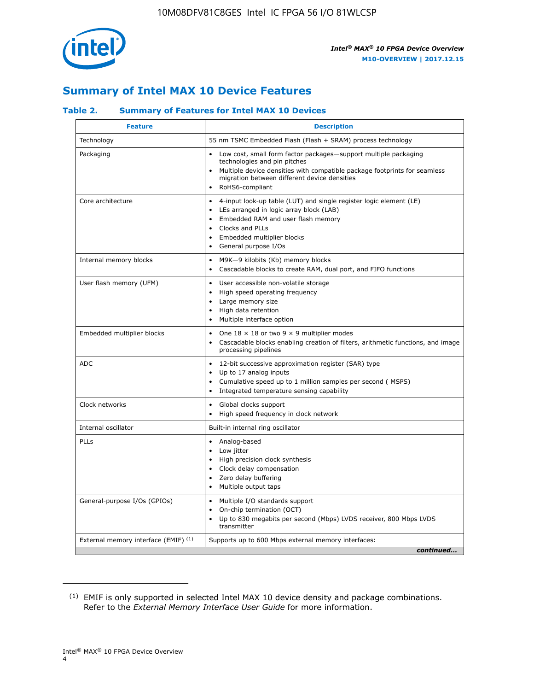

# **Summary of Intel MAX 10 Device Features**

## **Table 2. Summary of Features for Intel MAX 10 Devices**

| <b>Feature</b>                       | <b>Description</b>                                                                                                                                                                                                                                                               |
|--------------------------------------|----------------------------------------------------------------------------------------------------------------------------------------------------------------------------------------------------------------------------------------------------------------------------------|
| Technology                           | 55 nm TSMC Embedded Flash (Flash + SRAM) process technology                                                                                                                                                                                                                      |
| Packaging                            | Low cost, small form factor packages-support multiple packaging<br>technologies and pin pitches<br>Multiple device densities with compatible package footprints for seamless<br>migration between different device densities<br>RoHS6-compliant                                  |
| Core architecture                    | 4-input look-up table (LUT) and single register logic element (LE)<br>LEs arranged in logic array block (LAB)<br>$\bullet$<br>Embedded RAM and user flash memory<br>Clocks and PLLs<br>$\bullet$<br>Embedded multiplier blocks<br>$\bullet$<br>General purpose I/Os<br>$\bullet$ |
| Internal memory blocks               | M9K-9 kilobits (Kb) memory blocks<br>$\bullet$<br>Cascadable blocks to create RAM, dual port, and FIFO functions<br>$\bullet$                                                                                                                                                    |
| User flash memory (UFM)              | User accessible non-volatile storage<br>$\bullet$<br>High speed operating frequency<br>$\bullet$<br>Large memory size<br>High data retention<br>$\bullet$<br>Multiple interface option<br>$\bullet$                                                                              |
| Embedded multiplier blocks           | One $18 \times 18$ or two 9 $\times$ 9 multiplier modes<br>$\bullet$<br>Cascadable blocks enabling creation of filters, arithmetic functions, and image<br>processing pipelines                                                                                                  |
| <b>ADC</b>                           | 12-bit successive approximation register (SAR) type<br>$\bullet$<br>Up to 17 analog inputs<br>$\bullet$<br>Cumulative speed up to 1 million samples per second (MSPS)<br>Integrated temperature sensing capability                                                               |
| Clock networks                       | Global clocks support<br>$\bullet$<br>High speed frequency in clock network                                                                                                                                                                                                      |
| Internal oscillator                  | Built-in internal ring oscillator                                                                                                                                                                                                                                                |
| PLLs                                 | Analog-based<br>Low jitter<br>$\bullet$<br>High precision clock synthesis<br>Clock delay compensation<br>$\bullet$<br>Zero delay buffering<br>$\bullet$<br>Multiple output taps<br>٠                                                                                             |
| General-purpose I/Os (GPIOs)         | Multiple I/O standards support<br>$\bullet$<br>On-chip termination (OCT)<br>$\bullet$<br>Up to 830 megabits per second (Mbps) LVDS receiver, 800 Mbps LVDS<br>transmitter                                                                                                        |
| External memory interface (EMIF) (1) | Supports up to 600 Mbps external memory interfaces:<br>continued                                                                                                                                                                                                                 |

<sup>(1)</sup> EMIF is only supported in selected Intel MAX 10 device density and package combinations. Refer to the *External Memory Interface User Guide* for more information.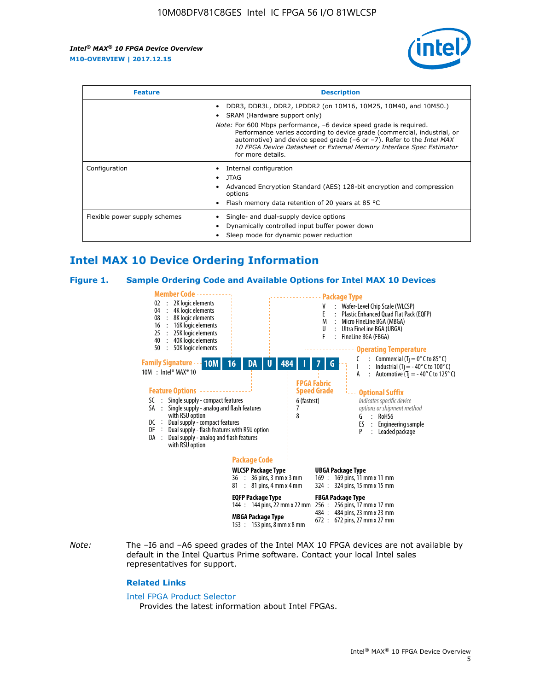

| <b>Feature</b>                | <b>Description</b>                                                                                                                                                                                                                                                                                                                             |  |  |  |
|-------------------------------|------------------------------------------------------------------------------------------------------------------------------------------------------------------------------------------------------------------------------------------------------------------------------------------------------------------------------------------------|--|--|--|
|                               | DDR3, DDR3L, DDR2, LPDDR2 (on 10M16, 10M25, 10M40, and 10M50.)<br>SRAM (Hardware support only)                                                                                                                                                                                                                                                 |  |  |  |
|                               | <i>Note:</i> For 600 Mbps performance, -6 device speed grade is required.<br>Performance varies according to device grade (commercial, industrial, or<br>automotive) and device speed grade $(-6 \text{ or } -7)$ . Refer to the <i>Intel MAX</i><br>10 FPGA Device Datasheet or External Memory Interface Spec Estimator<br>for more details. |  |  |  |
| Configuration                 | Internal configuration                                                                                                                                                                                                                                                                                                                         |  |  |  |
|                               | JTAG<br>٠                                                                                                                                                                                                                                                                                                                                      |  |  |  |
|                               | Advanced Encryption Standard (AES) 128-bit encryption and compression<br>options                                                                                                                                                                                                                                                               |  |  |  |
|                               | Flash memory data retention of 20 years at 85 $^{\circ}$ C                                                                                                                                                                                                                                                                                     |  |  |  |
| Flexible power supply schemes | Single- and dual-supply device options                                                                                                                                                                                                                                                                                                         |  |  |  |
|                               | Dynamically controlled input buffer power down                                                                                                                                                                                                                                                                                                 |  |  |  |
|                               | Sleep mode for dynamic power reduction                                                                                                                                                                                                                                                                                                         |  |  |  |

# **Intel MAX 10 Device Ordering Information**

#### **Figure 1. Sample Ordering Code and Available Options for Intel MAX 10 Devices**



*Note:* The –I6 and –A6 speed grades of the Intel MAX 10 FPGA devices are not available by default in the Intel Quartus Prime software. Contact your local Intel sales representatives for support.

#### **Related Links**

#### [Intel FPGA Product Selector](http://www.altera.com/products/selector/psg-selector.html)

Provides the latest information about Intel FPGAs.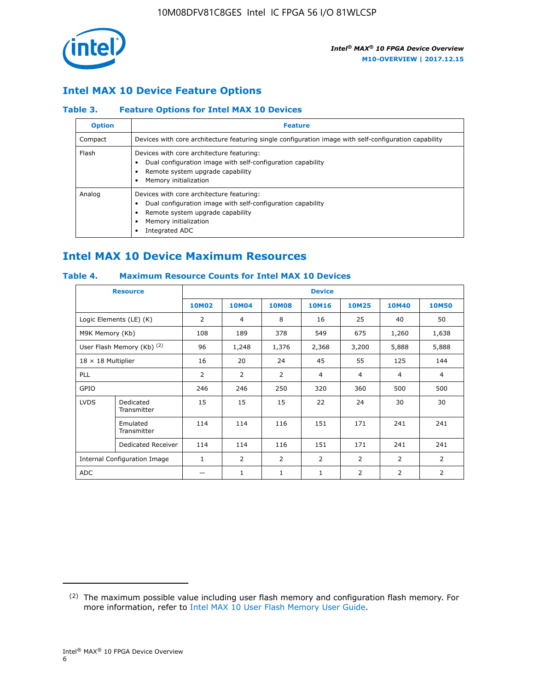

## **Intel MAX 10 Device Feature Options**

## **Table 3. Feature Options for Intel MAX 10 Devices**

| <b>Option</b> | <b>Feature</b>                                                                                                                                                                          |
|---------------|-----------------------------------------------------------------------------------------------------------------------------------------------------------------------------------------|
| Compact       | Devices with core architecture featuring single configuration image with self-configuration capability                                                                                  |
| Flash         | Devices with core architecture featuring:<br>Dual configuration image with self-configuration capability<br>Remote system upgrade capability<br>Memory initialization                   |
| Analog        | Devices with core architecture featuring:<br>Dual configuration image with self-configuration capability<br>Remote system upgrade capability<br>Memory initialization<br>Integrated ADC |

# **Intel MAX 10 Device Maximum Resources**

## **Table 4. Maximum Resource Counts for Intel MAX 10 Devices**

| <b>Resource</b>              |                            | <b>Device</b>  |              |              |                |                |              |                |
|------------------------------|----------------------------|----------------|--------------|--------------|----------------|----------------|--------------|----------------|
|                              |                            | <b>10M02</b>   | <b>10M04</b> | <b>10M08</b> | <b>10M16</b>   | <b>10M25</b>   | <b>10M40</b> | <b>10M50</b>   |
|                              | Logic Elements (LE) (K)    | $\overline{2}$ | 4            | 8            | 16             | 25             | 40           | 50             |
| M9K Memory (Kb)              |                            | 108            | 189          | 378          | 549            | 675            | 1,260        | 1,638          |
|                              | User Flash Memory (Kb) (2) | 96             | 1,248        | 1,376        | 2,368          | 3,200          | 5,888        | 5,888          |
| $18 \times 18$ Multiplier    |                            | 16             | 20           | 24           | 45             | 55             | 125          | 144            |
| <b>PLL</b>                   |                            | 2              | 2            | 2            | $\overline{4}$ | $\overline{4}$ | 4            | $\overline{4}$ |
| GPIO                         |                            | 246            | 246          | 250          | 320            | 360            | 500          | 500            |
| <b>LVDS</b>                  | Dedicated<br>Transmitter   | 15             | 15           | 15           | 22             | 24             | 30           | 30             |
|                              | Emulated<br>Transmitter    | 114            | 114          | 116          | 151            | 171            | 241          | 241            |
|                              | Dedicated Receiver         | 114            | 114          | 116          | 151            | 171            | 241          | 241            |
| Internal Configuration Image |                            | $\mathbf{1}$   | 2            | 2            | $\overline{2}$ | 2              | 2            | $\overline{2}$ |
| <b>ADC</b>                   |                            |                | 1            | 1            | $\mathbf{1}$   | 2              | 2            | 2              |

<sup>(2)</sup> The maximum possible value including user flash memory and configuration flash memory. For more information, refer to [Intel MAX 10 User Flash Memory User Guide](https://www.altera.com/documentation/vgo1395753117436.html#vgo1395811844282).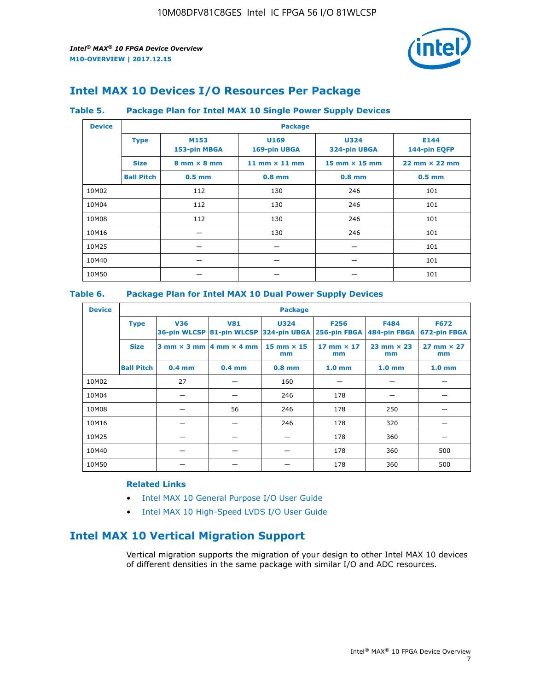

# **Intel MAX 10 Devices I/O Resources Per Package**

### **Table 5. Package Plan for Intel MAX 10 Single Power Supply Devices**

| <b>Device</b> |                   | <b>Package</b>                     |                      |                                      |                                      |  |  |  |  |
|---------------|-------------------|------------------------------------|----------------------|--------------------------------------|--------------------------------------|--|--|--|--|
|               | <b>Type</b>       | M153<br>153-pin MBGA               | U169<br>169-pin UBGA | <b>U324</b><br>324-pin UBGA          | E144<br>144-pin EQFP                 |  |  |  |  |
|               | <b>Size</b>       | $8 \text{ mm} \times 8 \text{ mm}$ | 11 mm $\times$ 11 mm | $15 \text{ mm} \times 15 \text{ mm}$ | $22 \text{ mm} \times 22 \text{ mm}$ |  |  |  |  |
|               | <b>Ball Pitch</b> | $0.5$ mm                           | $0.8$ mm             | $0.8$ mm                             | $0.5$ mm                             |  |  |  |  |
| 10M02         |                   | 112                                | 130                  | 246                                  | 101                                  |  |  |  |  |
| 10M04         |                   | 112                                | 130                  | 246                                  | 101                                  |  |  |  |  |
| 10M08         |                   | 112                                | 130                  | 246                                  | 101                                  |  |  |  |  |
| 10M16         |                   |                                    | 130                  | 246                                  | 101                                  |  |  |  |  |
| 10M25         |                   |                                    |                      |                                      | 101                                  |  |  |  |  |
| 10M40         |                   |                                    |                      |                                      | 101                                  |  |  |  |  |
| 10M50         |                   |                                    |                      |                                      | 101                                  |  |  |  |  |

## **Table 6. Package Plan for Intel MAX 10 Dual Power Supply Devices**

| <b>Device</b> |                   | <b>Package</b> |                                                |                                                                    |                           |                             |                             |  |  |  |
|---------------|-------------------|----------------|------------------------------------------------|--------------------------------------------------------------------|---------------------------|-----------------------------|-----------------------------|--|--|--|
|               | <b>Type</b>       | <b>V36</b>     | <b>V81</b>                                     | <b>U324</b><br>36-pin WLCSP 81-pin WLCSP 324-pin UBGA 256-pin FBGA | <b>F256</b>               | <b>F484</b><br>484-pin FBGA | <b>F672</b><br>672-pin FBGA |  |  |  |
|               | <b>Size</b>       |                | $3$ mm $\times$ 3 mm $ 4$ mm $\times$ 4 mm $ $ | $15$ mm $\times$ 15<br>mm                                          | $17$ mm $\times$ 17<br>mm | $23$ mm $\times$ 23<br>mm   | $27$ mm $\times$ 27<br>mm   |  |  |  |
|               | <b>Ball Pitch</b> | $0.4$ mm       | $0.4$ mm                                       | $0.8$ mm                                                           | 1.0 <sub>mm</sub>         | 1.0 <sub>mm</sub>           | 1.0 <sub>mm</sub>           |  |  |  |
| 10M02         |                   | 27             |                                                | 160                                                                |                           |                             |                             |  |  |  |
| 10M04         |                   |                |                                                | 246                                                                | 178                       |                             |                             |  |  |  |
| 10M08         |                   |                | 56                                             | 246                                                                | 178                       | 250                         |                             |  |  |  |
| 10M16         |                   |                |                                                | 246                                                                | 178                       | 320                         |                             |  |  |  |
| 10M25         |                   |                |                                                |                                                                    | 178                       | 360                         |                             |  |  |  |
| 10M40         |                   |                |                                                |                                                                    | 178                       | 360                         | 500                         |  |  |  |
| 10M50         |                   |                |                                                |                                                                    | 178                       | 360                         | 500                         |  |  |  |

## **Related Links**

- [Intel MAX 10 General Purpose I/O User Guide](https://www.altera.com/documentation/sam1393999966669.html#sam1394000084476)
- [Intel MAX 10 High-Speed LVDS I/O User Guide](https://www.altera.com/documentation/sam1394433606063.html#sam1394433911642)

# **Intel MAX 10 Vertical Migration Support**

Vertical migration supports the migration of your design to other Intel MAX 10 devices of different densities in the same package with similar I/O and ADC resources.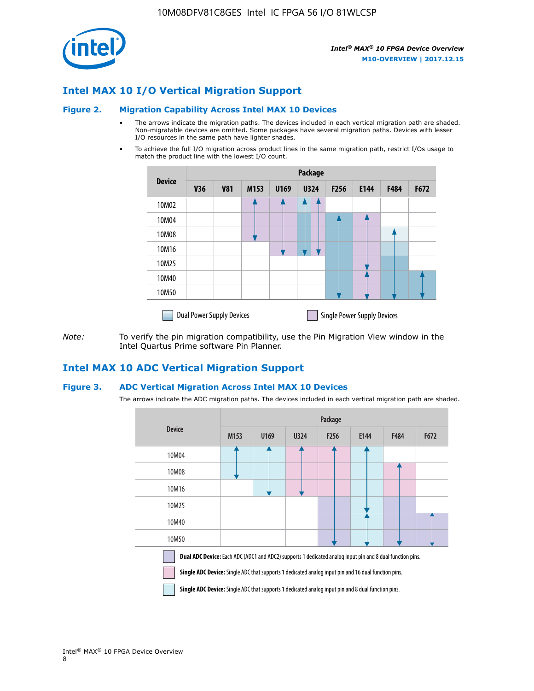

## **Intel MAX 10 I/O Vertical Migration Support**

#### **Figure 2. Migration Capability Across Intel MAX 10 Devices**

- The arrows indicate the migration paths. The devices included in each vertical migration path are shaded. Non-migratable devices are omitted. Some packages have several migration paths. Devices with lesser I/O resources in the same path have lighter shades.
- To achieve the full I/O migration across product lines in the same migration path, restrict I/Os usage to match the product line with the lowest I/O count.

|               | Package                          |            |      |      |             |                  |                                    |      |      |  |
|---------------|----------------------------------|------------|------|------|-------------|------------------|------------------------------------|------|------|--|
| <b>Device</b> | <b>V36</b>                       | <b>V81</b> | M153 | U169 | <b>U324</b> | F <sub>256</sub> | E144                               | F484 | F672 |  |
| 10M02         |                                  |            |      |      |             |                  |                                    |      |      |  |
| 10M04         |                                  |            |      |      |             |                  |                                    |      |      |  |
| 10M08         |                                  |            |      |      |             |                  |                                    |      |      |  |
| 10M16         |                                  |            |      |      |             |                  |                                    |      |      |  |
| 10M25         |                                  |            |      |      |             |                  |                                    |      |      |  |
| 10M40         |                                  |            |      |      |             |                  |                                    |      |      |  |
| 10M50         |                                  |            |      |      |             |                  |                                    |      |      |  |
|               | <b>Dual Power Supply Devices</b> |            |      |      |             |                  | <b>Single Power Supply Devices</b> |      |      |  |

*Note:* To verify the pin migration compatibility, use the Pin Migration View window in the Intel Quartus Prime software Pin Planner.

## **Intel MAX 10 ADC Vertical Migration Support**

#### **Figure 3. ADC Vertical Migration Across Intel MAX 10 Devices**

The arrows indicate the ADC migration paths. The devices included in each vertical migration path are shaded.

|                                                                                                                                                                                                                         | Package |      |      |                  |      |      |      |  |  |
|-------------------------------------------------------------------------------------------------------------------------------------------------------------------------------------------------------------------------|---------|------|------|------------------|------|------|------|--|--|
| <b>Device</b>                                                                                                                                                                                                           | M153    | U169 | U324 | F <sub>256</sub> | E144 | F484 | F672 |  |  |
| 10M04                                                                                                                                                                                                                   |         |      |      |                  |      |      |      |  |  |
| 10M08                                                                                                                                                                                                                   |         |      |      |                  |      |      |      |  |  |
| 10M16                                                                                                                                                                                                                   |         |      |      |                  |      |      |      |  |  |
| 10M25                                                                                                                                                                                                                   |         |      |      |                  |      |      |      |  |  |
| 10M40                                                                                                                                                                                                                   |         |      |      |                  |      |      |      |  |  |
| 10M50                                                                                                                                                                                                                   |         |      |      |                  |      |      |      |  |  |
| <b>Dual ADC Device:</b> Each ADC (ADC1 and ADC2) supports 1 dedicated analog input pin and 8 dual function pins.<br>Single ADC Device: Single ADC that supports 1 dedicated analog input pin and 16 dual function pins. |         |      |      |                  |      |      |      |  |  |

**Single ADC Device:** Single ADC that supports 1 dedicated analog input pin and 8 dual function pins.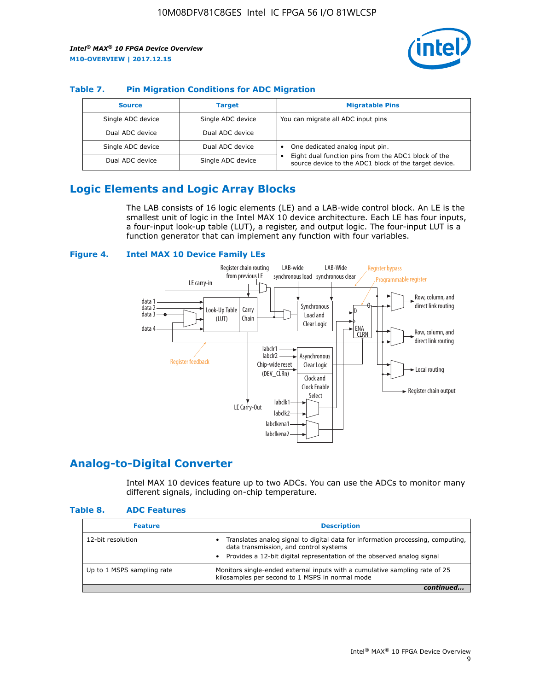

## **Table 7. Pin Migration Conditions for ADC Migration**

| <b>Source</b>     | <b>Target</b>     | <b>Migratable Pins</b>                                                                                            |
|-------------------|-------------------|-------------------------------------------------------------------------------------------------------------------|
| Single ADC device | Single ADC device | You can migrate all ADC input pins                                                                                |
| Dual ADC device   | Dual ADC device   |                                                                                                                   |
| Single ADC device | Dual ADC device   | One dedicated analog input pin.                                                                                   |
| Dual ADC device   | Single ADC device | Eight dual function pins from the ADC1 block of the<br>٠<br>source device to the ADC1 block of the target device. |

# **Logic Elements and Logic Array Blocks**

The LAB consists of 16 logic elements (LE) and a LAB-wide control block. An LE is the smallest unit of logic in the Intel MAX 10 device architecture. Each LE has four inputs, a four-input look-up table (LUT), a register, and output logic. The four-input LUT is a function generator that can implement any function with four variables.

## **Figure 4. Intel MAX 10 Device Family LEs**



## **Analog-to-Digital Converter**

Intel MAX 10 devices feature up to two ADCs. You can use the ADCs to monitor many different signals, including on-chip temperature.

#### **Table 8. ADC Features**

| <b>Feature</b>             | <b>Description</b>                                                                                                                                                                                  |
|----------------------------|-----------------------------------------------------------------------------------------------------------------------------------------------------------------------------------------------------|
| 12-bit resolution          | Translates analog signal to digital data for information processing, computing,<br>data transmission, and control systems<br>Provides a 12-bit digital representation of the observed analog signal |
| Up to 1 MSPS sampling rate | Monitors single-ended external inputs with a cumulative sampling rate of 25<br>kilosamples per second to 1 MSPS in normal mode                                                                      |
|                            |                                                                                                                                                                                                     |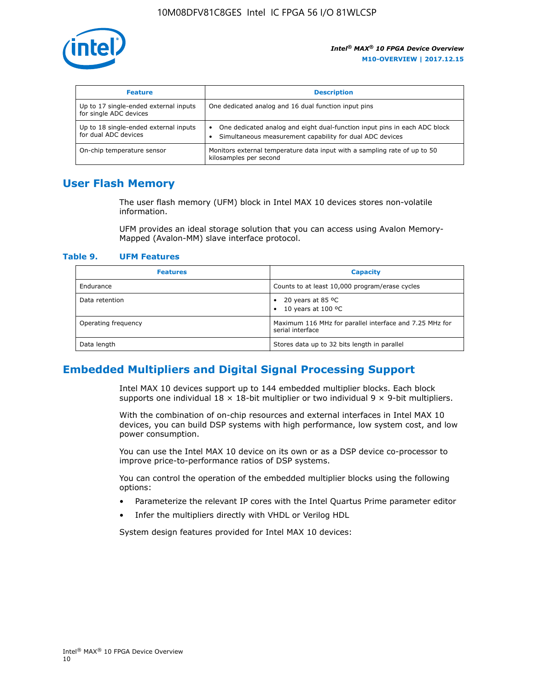

| <b>Feature</b>                                                  | <b>Description</b>                                                                                                                                 |
|-----------------------------------------------------------------|----------------------------------------------------------------------------------------------------------------------------------------------------|
| Up to 17 single-ended external inputs<br>for single ADC devices | One dedicated analog and 16 dual function input pins                                                                                               |
| Up to 18 single-ended external inputs<br>for dual ADC devices   | One dedicated analog and eight dual-function input pins in each ADC block<br>$\bullet$<br>Simultaneous measurement capability for dual ADC devices |
| On-chip temperature sensor                                      | Monitors external temperature data input with a sampling rate of up to 50<br>kilosamples per second                                                |

# **User Flash Memory**

The user flash memory (UFM) block in Intel MAX 10 devices stores non-volatile information.

UFM provides an ideal storage solution that you can access using Avalon Memory-Mapped (Avalon-MM) slave interface protocol.

#### **Table 9. UFM Features**

| <b>Features</b>     | <b>Capacity</b>                                                             |
|---------------------|-----------------------------------------------------------------------------|
| Endurance           | Counts to at least 10,000 program/erase cycles                              |
| Data retention      | 20 years at 85 $^{\circ}$ C<br>٠<br>10 years at 100 °C<br>$\bullet$         |
| Operating frequency | Maximum 116 MHz for parallel interface and 7.25 MHz for<br>serial interface |
| Data length         | Stores data up to 32 bits length in parallel                                |

# **Embedded Multipliers and Digital Signal Processing Support**

Intel MAX 10 devices support up to 144 embedded multiplier blocks. Each block supports one individual  $18 \times 18$ -bit multiplier or two individual  $9 \times 9$ -bit multipliers.

With the combination of on-chip resources and external interfaces in Intel MAX 10 devices, you can build DSP systems with high performance, low system cost, and low power consumption.

You can use the Intel MAX 10 device on its own or as a DSP device co-processor to improve price-to-performance ratios of DSP systems.

You can control the operation of the embedded multiplier blocks using the following options:

- Parameterize the relevant IP cores with the Intel Quartus Prime parameter editor
- Infer the multipliers directly with VHDL or Verilog HDL

System design features provided for Intel MAX 10 devices: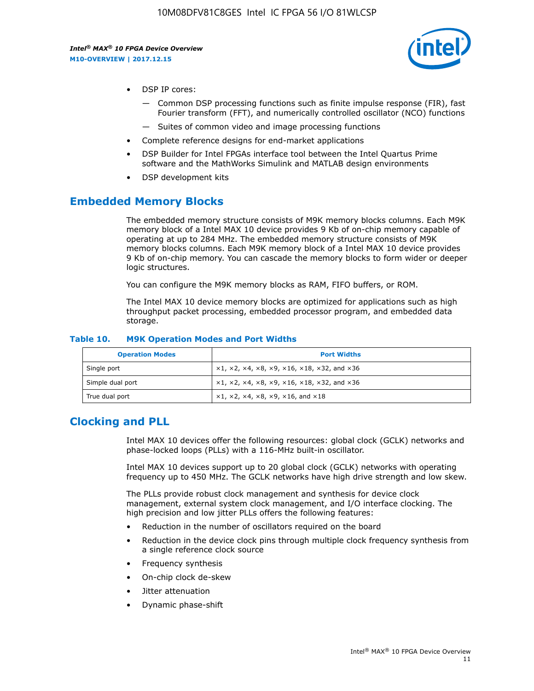

- DSP IP cores:
	- Common DSP processing functions such as finite impulse response (FIR), fast Fourier transform (FFT), and numerically controlled oscillator (NCO) functions
	- Suites of common video and image processing functions
- Complete reference designs for end-market applications
- DSP Builder for Intel FPGAs interface tool between the Intel Quartus Prime software and the MathWorks Simulink and MATLAB design environments
- DSP development kits

## **Embedded Memory Blocks**

The embedded memory structure consists of M9K memory blocks columns. Each M9K memory block of a Intel MAX 10 device provides 9 Kb of on-chip memory capable of operating at up to 284 MHz. The embedded memory structure consists of M9K memory blocks columns. Each M9K memory block of a Intel MAX 10 device provides 9 Kb of on-chip memory. You can cascade the memory blocks to form wider or deeper logic structures.

You can configure the M9K memory blocks as RAM, FIFO buffers, or ROM.

The Intel MAX 10 device memory blocks are optimized for applications such as high throughput packet processing, embedded processor program, and embedded data storage.

| <b>Operation Modes</b> | <b>Port Widths</b>                                                            |
|------------------------|-------------------------------------------------------------------------------|
| Single port            | $x1, x2, x4, x8, x9, x16, x18, x32, and x36$                                  |
| Simple dual port       | $x1, x2, x4, x8, x9, x16, x18, x32, and x36$                                  |
| True dual port         | $\times1, \times2, \times4, \times8, \times9, \times16, \text{and } \times18$ |

#### **Table 10. M9K Operation Modes and Port Widths**

# **Clocking and PLL**

Intel MAX 10 devices offer the following resources: global clock (GCLK) networks and phase-locked loops (PLLs) with a 116-MHz built-in oscillator.

Intel MAX 10 devices support up to 20 global clock (GCLK) networks with operating frequency up to 450 MHz. The GCLK networks have high drive strength and low skew.

The PLLs provide robust clock management and synthesis for device clock management, external system clock management, and I/O interface clocking. The high precision and low jitter PLLs offers the following features:

- Reduction in the number of oscillators required on the board
- Reduction in the device clock pins through multiple clock frequency synthesis from a single reference clock source
- Frequency synthesis
- On-chip clock de-skew
- Jitter attenuation
- Dynamic phase-shift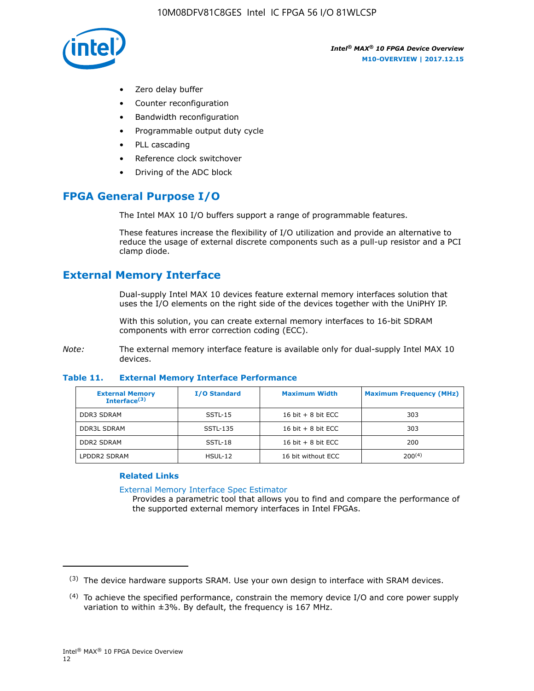

- Zero delay buffer
- Counter reconfiguration
- Bandwidth reconfiguration
- Programmable output duty cycle
- PLL cascading
- Reference clock switchover
- Driving of the ADC block

# **FPGA General Purpose I/O**

The Intel MAX 10 I/O buffers support a range of programmable features.

These features increase the flexibility of I/O utilization and provide an alternative to reduce the usage of external discrete components such as a pull-up resistor and a PCI clamp diode.

# **External Memory Interface**

Dual-supply Intel MAX 10 devices feature external memory interfaces solution that uses the I/O elements on the right side of the devices together with the UniPHY IP.

With this solution, you can create external memory interfaces to 16-bit SDRAM components with error correction coding (ECC).

*Note:* The external memory interface feature is available only for dual-supply Intel MAX 10 devices.

#### **Table 11. External Memory Interface Performance**

| <b>External Memory</b><br>Interface $(3)$ | <b>I/O Standard</b> | <b>Maximum Width</b> | <b>Maximum Frequency (MHz)</b> |
|-------------------------------------------|---------------------|----------------------|--------------------------------|
| <b>DDR3 SDRAM</b>                         | $SSTL-15$           | 16 bit $+8$ bit ECC  | 303                            |
| <b>DDR3L SDRAM</b>                        | SSTL-135            | 16 bit $+8$ bit ECC  | 303                            |
| <b>DDR2 SDRAM</b>                         | SSTL-18             | 16 bit $+8$ bit ECC  | 200                            |
| LPDDR2 SDRAM                              | HSUL-12             | 16 bit without ECC   | $200^{(4)}$                    |

### **Related Links**

[External Memory Interface Spec Estimator](http://www.altera.com/technology/memory/estimator/mem-emif-index.html)

Provides a parametric tool that allows you to find and compare the performance of the supported external memory interfaces in Intel FPGAs.

 $(3)$  The device hardware supports SRAM. Use your own design to interface with SRAM devices.

 $(4)$  To achieve the specified performance, constrain the memory device I/O and core power supply variation to within ±3%. By default, the frequency is 167 MHz.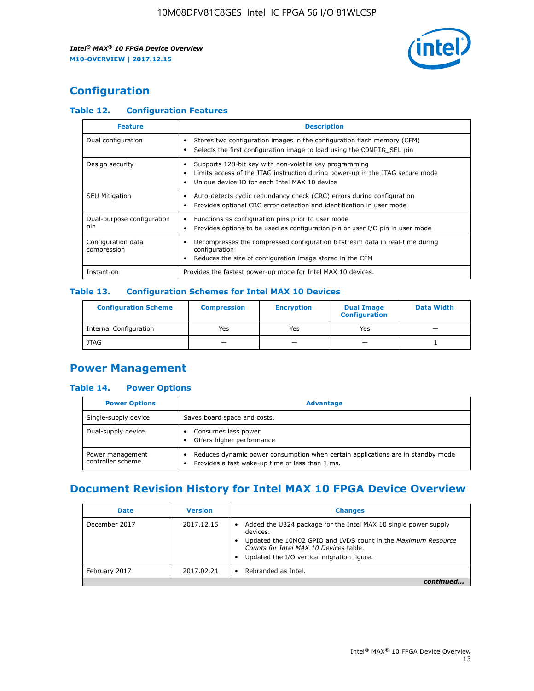

# **Configuration**

## **Table 12. Configuration Features**

| <b>Feature</b>                    | <b>Description</b>                                                                                                                                                                       |
|-----------------------------------|------------------------------------------------------------------------------------------------------------------------------------------------------------------------------------------|
| Dual configuration                | Stores two configuration images in the configuration flash memory (CFM)<br>Selects the first configuration image to load using the CONFIG SEL pin                                        |
| Design security                   | Supports 128-bit key with non-volatile key programming<br>Limits access of the JTAG instruction during power-up in the JTAG secure mode<br>Unique device ID for each Intel MAX 10 device |
| <b>SEU Mitigation</b>             | Auto-detects cyclic redundancy check (CRC) errors during configuration<br>Provides optional CRC error detection and identification in user mode                                          |
| Dual-purpose configuration<br>pin | Functions as configuration pins prior to user mode<br>Provides options to be used as configuration pin or user I/O pin in user mode                                                      |
| Configuration data<br>compression | Decompresses the compressed configuration bitstream data in real-time during<br>configuration<br>Reduces the size of configuration image stored in the CFM                               |
| Instant-on                        | Provides the fastest power-up mode for Intel MAX 10 devices.                                                                                                                             |

## **Table 13. Configuration Schemes for Intel MAX 10 Devices**

| <b>Configuration Scheme</b>   | <b>Compression</b>       | <b>Encryption</b> | <b>Dual Image</b><br><b>Configuration</b> | <b>Data Width</b> |
|-------------------------------|--------------------------|-------------------|-------------------------------------------|-------------------|
| <b>Internal Configuration</b> | Yes                      | Yes               | Yes                                       |                   |
| <b>JTAG</b>                   | $\overline{\phantom{a}}$ |                   | -                                         |                   |

## **Power Management**

## **Table 14. Power Options**

| <b>Power Options</b>                  | <b>Advantage</b>                                                                                                                                |  |
|---------------------------------------|-------------------------------------------------------------------------------------------------------------------------------------------------|--|
| Single-supply device                  | Saves board space and costs.                                                                                                                    |  |
| Dual-supply device                    | Consumes less power<br>Offers higher performance<br>$\bullet$                                                                                   |  |
| Power management<br>controller scheme | Reduces dynamic power consumption when certain applications are in standby mode<br>Provides a fast wake-up time of less than 1 ms.<br>$\bullet$ |  |

# **Document Revision History for Intel MAX 10 FPGA Device Overview**

| <b>Date</b>   | <b>Version</b> | <b>Changes</b>                                                                                                                                                                                                                       |
|---------------|----------------|--------------------------------------------------------------------------------------------------------------------------------------------------------------------------------------------------------------------------------------|
| December 2017 | 2017.12.15     | Added the U324 package for the Intel MAX 10 single power supply<br>devices.<br>Updated the 10M02 GPIO and LVDS count in the Maximum Resource<br>Counts for Intel MAX 10 Devices table.<br>Updated the I/O vertical migration figure. |
| February 2017 | 2017.02.21     | Rebranded as Intel.                                                                                                                                                                                                                  |
|               |                |                                                                                                                                                                                                                                      |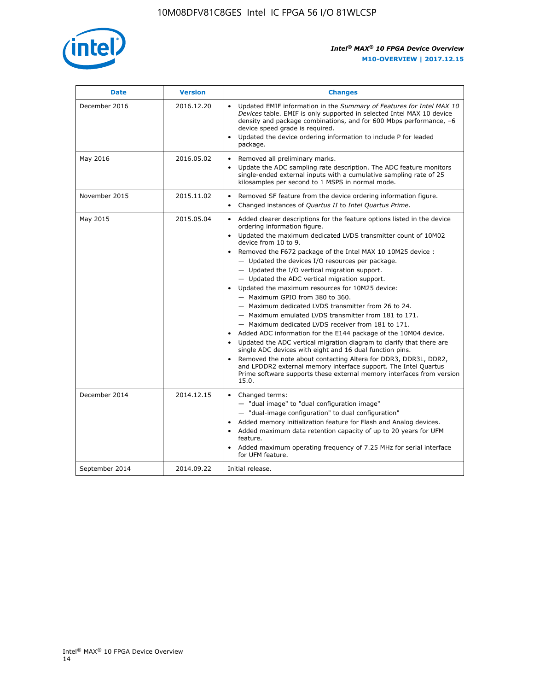

| <b>Date</b>    | <b>Version</b> | <b>Changes</b>                                                                                                                                                                                                                                                                                                                                                                                                                                                                                                                                                                                                                                                                                                                                                                                                                                                                                                                                                                                                                                                                                                  |
|----------------|----------------|-----------------------------------------------------------------------------------------------------------------------------------------------------------------------------------------------------------------------------------------------------------------------------------------------------------------------------------------------------------------------------------------------------------------------------------------------------------------------------------------------------------------------------------------------------------------------------------------------------------------------------------------------------------------------------------------------------------------------------------------------------------------------------------------------------------------------------------------------------------------------------------------------------------------------------------------------------------------------------------------------------------------------------------------------------------------------------------------------------------------|
| December 2016  | 2016.12.20     | • Updated EMIF information in the Summary of Features for Intel MAX 10<br>Devices table. EMIF is only supported in selected Intel MAX 10 device<br>density and package combinations, and for 600 Mbps performance, -6<br>device speed grade is required.<br>Updated the device ordering information to include P for leaded<br>package.                                                                                                                                                                                                                                                                                                                                                                                                                                                                                                                                                                                                                                                                                                                                                                         |
| May 2016       | 2016.05.02     | Removed all preliminary marks.<br>Update the ADC sampling rate description. The ADC feature monitors<br>single-ended external inputs with a cumulative sampling rate of 25<br>kilosamples per second to 1 MSPS in normal mode.                                                                                                                                                                                                                                                                                                                                                                                                                                                                                                                                                                                                                                                                                                                                                                                                                                                                                  |
| November 2015  | 2015.11.02     | Removed SF feature from the device ordering information figure.<br>$\bullet$<br>Changed instances of Quartus II to Intel Quartus Prime.<br>$\bullet$                                                                                                                                                                                                                                                                                                                                                                                                                                                                                                                                                                                                                                                                                                                                                                                                                                                                                                                                                            |
| May 2015       | 2015.05.04     | Added clearer descriptions for the feature options listed in the device<br>ordering information figure.<br>Updated the maximum dedicated LVDS transmitter count of 10M02<br>device from 10 to 9.<br>Removed the F672 package of the Intel MAX 10 10M25 device :<br>- Updated the devices I/O resources per package.<br>- Updated the I/O vertical migration support.<br>- Updated the ADC vertical migration support.<br>Updated the maximum resources for 10M25 device:<br>- Maximum GPIO from 380 to 360.<br>- Maximum dedicated LVDS transmitter from 26 to 24.<br>- Maximum emulated LVDS transmitter from 181 to 171.<br>- Maximum dedicated LVDS receiver from 181 to 171.<br>Added ADC information for the E144 package of the 10M04 device.<br>Updated the ADC vertical migration diagram to clarify that there are<br>single ADC devices with eight and 16 dual function pins.<br>Removed the note about contacting Altera for DDR3, DDR3L, DDR2,<br>and LPDDR2 external memory interface support. The Intel Quartus<br>Prime software supports these external memory interfaces from version<br>15.0. |
| December 2014  | 2014.12.15     | Changed terms:<br>- "dual image" to "dual configuration image"<br>- "dual-image configuration" to dual configuration"<br>Added memory initialization feature for Flash and Analog devices.<br>Added maximum data retention capacity of up to 20 years for UFM<br>feature.<br>Added maximum operating frequency of 7.25 MHz for serial interface<br>for UFM feature.                                                                                                                                                                                                                                                                                                                                                                                                                                                                                                                                                                                                                                                                                                                                             |
| September 2014 | 2014.09.22     | Initial release.                                                                                                                                                                                                                                                                                                                                                                                                                                                                                                                                                                                                                                                                                                                                                                                                                                                                                                                                                                                                                                                                                                |